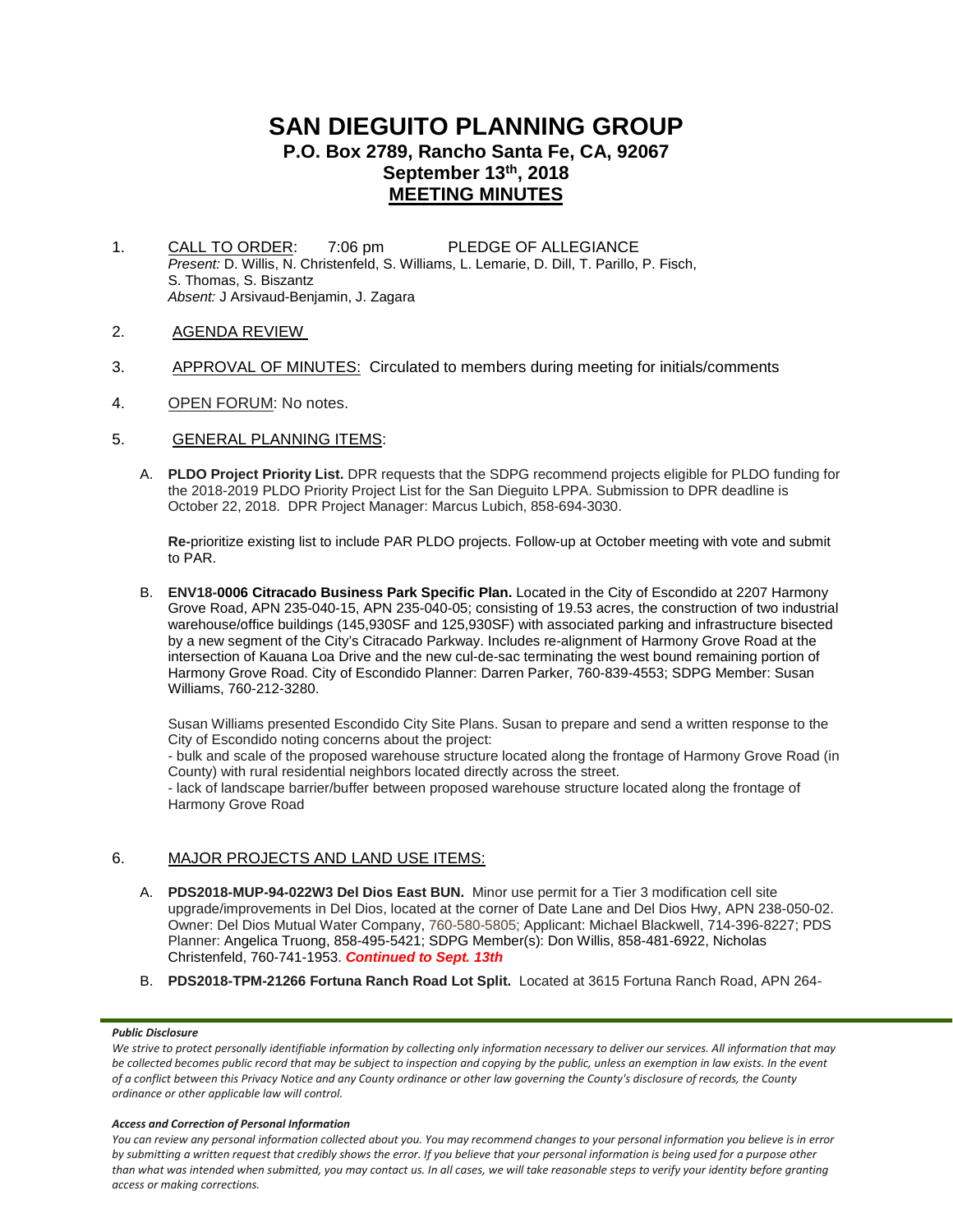# **SAN DIEGUITO PLANNING GROUP P.O. Box 2789, Rancho Santa Fe, CA, 92067 September 13th, 2018 MEETING MINUTES**

- 1. CALL TO ORDER: 7:06 pm PLEDGE OF ALLEGIANCE *Present:* D. Willis, N. Christenfeld, S. Williams, L. Lemarie, D. Dill, T. Parillo, P. Fisch, S. Thomas, S. Biszantz *Absent:* J Arsivaud-Benjamin, J. Zagara
- 2. AGENDA REVIEW
- 3. APPROVAL OF MINUTES: Circulated to members during meeting for initials/comments
- 4. OPEN FORUM: No notes.
- 5. GENERAL PLANNING ITEMS:
	- A. **PLDO Project Priority List.** DPR requests that the SDPG recommend projects eligible for PLDO funding for the 2018-2019 PLDO Priority Project List for the San Dieguito LPPA. Submission to DPR deadline is October 22, 2018. DPR Project Manager: Marcus Lubich, 858-694-3030.

**Re-**prioritize existing list to include PAR PLDO projects. Follow-up at October meeting with vote and submit to PAR.

B. **ENV18-0006 Citracado Business Park Specific Plan.** Located in the City of Escondido at 2207 Harmony Grove Road, APN 235-040-15, APN 235-040-05; consisting of 19.53 acres, the construction of two industrial warehouse/office buildings (145,930SF and 125,930SF) with associated parking and infrastructure bisected by a new segment of the City's Citracado Parkway. Includes re-alignment of Harmony Grove Road at the intersection of Kauana Loa Drive and the new cul-de-sac terminating the west bound remaining portion of Harmony Grove Road. City of Escondido Planner: Darren Parker, 760-839-4553; SDPG Member: Susan Williams, 760-212-3280.

Susan Williams presented Escondido City Site Plans. Susan to prepare and send a written response to the City of Escondido noting concerns about the project:

- bulk and scale of the proposed warehouse structure located along the frontage of Harmony Grove Road (in County) with rural residential neighbors located directly across the street.

- lack of landscape barrier/buffer between proposed warehouse structure located along the frontage of Harmony Grove Road

## 6. MAJOR PROJECTS AND LAND USE ITEMS:

- A. **PDS2018-MUP-94-022W3 Del Dios East BUN.** Minor use permit for a Tier 3 modification cell site upgrade/improvements in Del Dios, located at the corner of Date Lane and Del Dios Hwy, APN 238-050-02. Owner: Del Dios Mutual Water Company, 760-580-5805; Applicant: Michael Blackwell, 714-396-8227; PDS Planner: Angelica Truong, 858-495-5421; SDPG Member(s): Don Willis, 858-481-6922, Nicholas Christenfeld, 760-741-1953. *Continued to Sept. 13th*
- B. **PDS2018-TPM-21266 Fortuna Ranch Road Lot Split.** Located at 3615 Fortuna Ranch Road, APN 264-

#### *Public Disclosure*

#### *Access and Correction of Personal Information*

*You can review any personal information collected about you. You may recommend changes to your personal information you believe is in error by submitting a written request that credibly shows the error. If you believe that your personal information is being used for a purpose other than what was intended when submitted, you may contact us. In all cases, we will take reasonable steps to verify your identity before granting access or making corrections.*

*We strive to protect personally identifiable information by collecting only information necessary to deliver our services. All information that may be collected becomes public record that may be subject to inspection and copying by the public, unless an exemption in law exists. In the event of a conflict between this Privacy Notice and any County ordinance or other law governing the County's disclosure of records, the County ordinance or other applicable law will control.*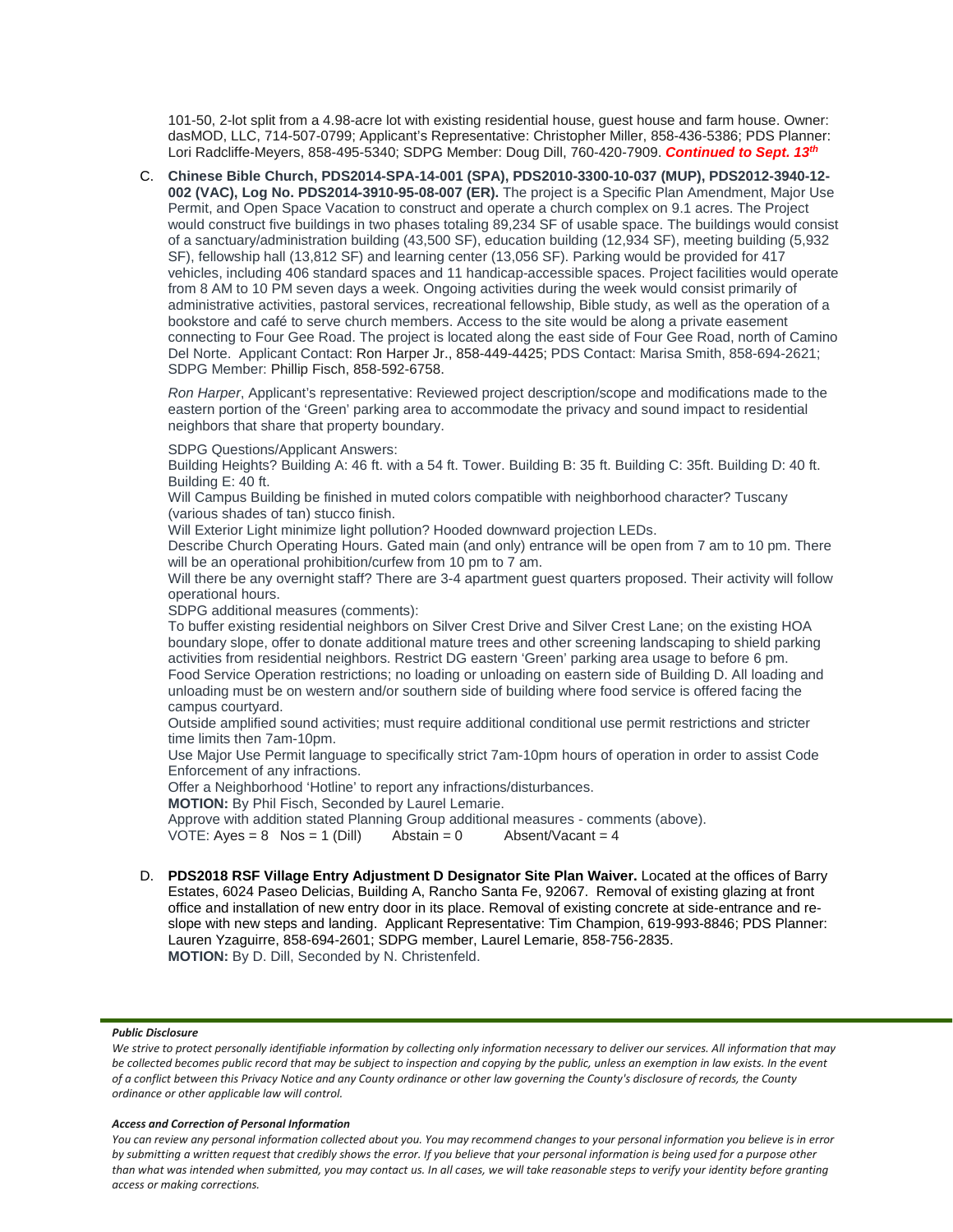101-50, 2-lot split from a 4.98-acre lot with existing residential house, guest house and farm house. Owner: dasMOD, LLC, 714-507-0799; Applicant's Representative: Christopher Miller, 858-436-5386; PDS Planner: Lori Radcliffe-Meyers, 858-495-5340; SDPG Member: Doug Dill, 760-420-7909. *Continued to Sept. 13th*

C. **Chinese Bible Church, PDS2014-SPA-14-001 (SPA), PDS2010-3300-10-037 (MUP), PDS2012-3940-12- 002 (VAC), Log No. PDS2014-3910-95-08-007 (ER).** The project is a Specific Plan Amendment, Major Use Permit, and Open Space Vacation to construct and operate a church complex on 9.1 acres. The Project would construct five buildings in two phases totaling 89,234 SF of usable space. The buildings would consist of a sanctuary/administration building (43,500 SF), education building (12,934 SF), meeting building (5,932 SF), fellowship hall (13,812 SF) and learning center (13,056 SF). Parking would be provided for 417 vehicles, including 406 standard spaces and 11 handicap-accessible spaces. Project facilities would operate from 8 AM to 10 PM seven days a week. Ongoing activities during the week would consist primarily of administrative activities, pastoral services, recreational fellowship, Bible study, as well as the operation of a bookstore and café to serve church members. Access to the site would be along a private easement connecting to Four Gee Road. The project is located along the east side of Four Gee Road, north of Camino Del Norte. Applicant Contact: Ron Harper Jr., 858-449-4425; PDS Contact: Marisa Smith, 858-694-2621; SDPG Member: Phillip Fisch, 858-592-6758.

*Ron Harper*, Applicant's representative: Reviewed project description/scope and modifications made to the eastern portion of the 'Green' parking area to accommodate the privacy and sound impact to residential neighbors that share that property boundary.

SDPG Questions/Applicant Answers:

Building Heights? Building A: 46 ft. with a 54 ft. Tower. Building B: 35 ft. Building C: 35ft. Building D: 40 ft. Building E: 40 ft.

Will Campus Building be finished in muted colors compatible with neighborhood character? Tuscany (various shades of tan) stucco finish.

Will Exterior Light minimize light pollution? Hooded downward projection LEDs.

Describe Church Operating Hours. Gated main (and only) entrance will be open from 7 am to 10 pm. There will be an operational prohibition/curfew from 10 pm to 7 am.

Will there be any overnight staff? There are 3-4 apartment guest quarters proposed. Their activity will follow operational hours.

SDPG additional measures (comments):

To buffer existing residential neighbors on Silver Crest Drive and Silver Crest Lane; on the existing HOA boundary slope, offer to donate additional mature trees and other screening landscaping to shield parking activities from residential neighbors. Restrict DG eastern 'Green' parking area usage to before 6 pm. Food Service Operation restrictions; no loading or unloading on eastern side of Building D. All loading and unloading must be on western and/or southern side of building where food service is offered facing the campus courtyard.

Outside amplified sound activities; must require additional conditional use permit restrictions and stricter time limits then 7am-10pm.

Use Major Use Permit language to specifically strict 7am-10pm hours of operation in order to assist Code Enforcement of any infractions.

Offer a Neighborhood 'Hotline' to report any infractions/disturbances.

**MOTION:** By Phil Fisch, Seconded by Laurel Lemarie.

Approve with addition stated Planning Group additional measures - comments (above).<br>VOTE: Ayes = 8 Nos = 1 (Dill) Abstain = 0 Absent/Vacant = 4 VOTE: Ayes =  $8$  Nos = 1 (Dill)

D. **PDS2018 RSF Village Entry Adjustment D Designator Site Plan Waiver.** Located at the offices of Barry Estates, 6024 Paseo Delicias, Building A, Rancho Santa Fe, 92067. Removal of existing glazing at front office and installation of new entry door in its place. Removal of existing concrete at side-entrance and reslope with new steps and landing. Applicant Representative: Tim Champion, 619-993-8846; PDS Planner: Lauren Yzaguirre, 858-694-2601; SDPG member, Laurel Lemarie, 858-756-2835. **MOTION:** By D. Dill, Seconded by N. Christenfeld.

#### *Public Disclosure*

#### *Access and Correction of Personal Information*

*You can review any personal information collected about you. You may recommend changes to your personal information you believe is in error by submitting a written request that credibly shows the error. If you believe that your personal information is being used for a purpose other than what was intended when submitted, you may contact us. In all cases, we will take reasonable steps to verify your identity before granting access or making corrections.*

*We strive to protect personally identifiable information by collecting only information necessary to deliver our services. All information that may be collected becomes public record that may be subject to inspection and copying by the public, unless an exemption in law exists. In the event of a conflict between this Privacy Notice and any County ordinance or other law governing the County's disclosure of records, the County ordinance or other applicable law will control.*